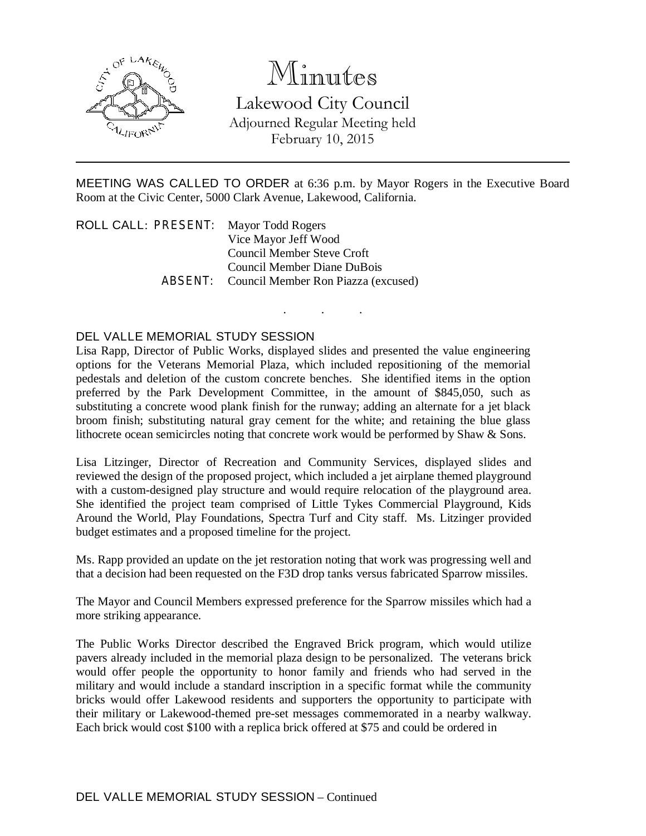

## Minutes

Lakewood City Council Adjourned Regular Meeting held February 10, 2015

MEETING WAS CALLED TO ORDER at 6:36 p.m. by Mayor Rogers in the Executive Board Room at the Civic Center, 5000 Clark Avenue, Lakewood, California.

. . .

ROLL CALL: PRESENT: Mayor Todd Rogers Vice Mayor Jeff Wood Council Member Steve Croft Council Member Diane DuBois ABSENT: Council Member Ron Piazza (excused)

## DEL VALLE MEMORIAL STUDY SESSION

Lisa Rapp, Director of Public Works, displayed slides and presented the value engineering options for the Veterans Memorial Plaza, which included repositioning of the memorial pedestals and deletion of the custom concrete benches. She identified items in the option preferred by the Park Development Committee, in the amount of \$845,050, such as substituting a concrete wood plank finish for the runway; adding an alternate for a jet black broom finish; substituting natural gray cement for the white; and retaining the blue glass lithocrete ocean semicircles noting that concrete work would be performed by Shaw & Sons.

Lisa Litzinger, Director of Recreation and Community Services, displayed slides and reviewed the design of the proposed project, which included a jet airplane themed playground with a custom-designed play structure and would require relocation of the playground area. She identified the project team comprised of Little Tykes Commercial Playground, Kids Around the World, Play Foundations, Spectra Turf and City staff. Ms. Litzinger provided budget estimates and a proposed timeline for the project.

Ms. Rapp provided an update on the jet restoration noting that work was progressing well and that a decision had been requested on the F3D drop tanks versus fabricated Sparrow missiles.

The Mayor and Council Members expressed preference for the Sparrow missiles which had a more striking appearance.

The Public Works Director described the Engraved Brick program, which would utilize pavers already included in the memorial plaza design to be personalized. The veterans brick would offer people the opportunity to honor family and friends who had served in the military and would include a standard inscription in a specific format while the community bricks would offer Lakewood residents and supporters the opportunity to participate with their military or Lakewood-themed pre-set messages commemorated in a nearby walkway. Each brick would cost \$100 with a replica brick offered at \$75 and could be ordered in